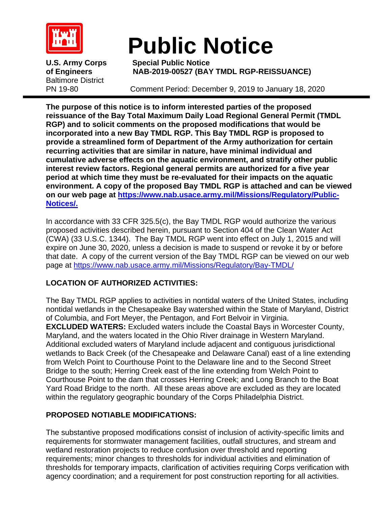

# **Public Notice**

Baltimore District

**U.S. Army Corps Special Public Notice of Engineers NAB-2019-00527 (BAY TMDL RGP-REISSUANCE)**

PN 19-80 Comment Period: December 9, 2019 to January 18, 2020

**The purpose of this notice is to inform interested parties of the proposed reissuance of the Bay Total Maximum Daily Load Regional General Permit (TMDL RGP) and to solicit comments on the proposed modifications that would be incorporated into a new Bay TMDL RGP. This Bay TMDL RGP is proposed to provide a streamlined form of Department of the Army authorization for certain recurring activities that are similar in nature, have minimal individual and cumulative adverse effects on the aquatic environment, and stratify other public interest review factors. Regional general permits are authorized for a five year period at which time they must be re-evaluated for their impacts on the aquatic environment. A copy of the proposed Bay TMDL RGP is attached and can be viewed on our web page at [https://www.nab.usace.army.mil/Missions/Regulatory/Public-](https://www.nab.usace.army.mil/Missions/Regulatory/Public-Notices/)[Notices/.](https://www.nab.usace.army.mil/Missions/Regulatory/Public-Notices/)** 

In accordance with 33 CFR 325.5(c), the Bay TMDL RGP would authorize the various proposed activities described herein, pursuant to Section 404 of the Clean Water Act (CWA) (33 U.S.C. 1344). The Bay TMDL RGP went into effect on July 1, 2015 and will expire on June 30, 2020, unless a decision is made to suspend or revoke it by or before that date. A copy of the current version of the Bay TMDL RGP can be viewed on our web page at https://www.nab.usace.army.mil/Missions/Regulatory/Bay-TMDL/

# **LOCATION OF AUTHORIZED ACTIVITIES:**

The Bay TMDL RGP applies to activities in nontidal waters of the United States, including nontidal wetlands in the Chesapeake Bay watershed within the State of Maryland, District of Columbia, and Fort Meyer, the Pentagon, and Fort Belvoir in Virginia.

**EXCLUDED WATERS:** Excluded waters include the Coastal Bays in Worcester County, Maryland, and the waters located in the Ohio River drainage in Western Maryland. Additional excluded waters of Maryland include adjacent and contiguous jurisdictional wetlands to Back Creek (of the Chesapeake and Delaware Canal) east of a line extending from Welch Point to Courthouse Point to the Delaware line and to the Second Street Bridge to the south; Herring Creek east of the line extending from Welch Point to Courthouse Point to the dam that crosses Herring Creek; and Long Branch to the Boat Yard Road Bridge to the north. All these areas above are excluded as they are located within the regulatory geographic boundary of the Corps Philadelphia District.

# **PROPOSED NOTIABLE MODIFICATIONS:**

The substantive proposed modifications consist of inclusion of activity-specific limits and requirements for stormwater management facilities, outfall structures, and stream and wetland restoration projects to reduce confusion over threshold and reporting requirements; minor changes to thresholds for individual activities and elimination of thresholds for temporary impacts, clarification of activities requiring Corps verification with agency coordination; and a requirement for post construction reporting for all activities.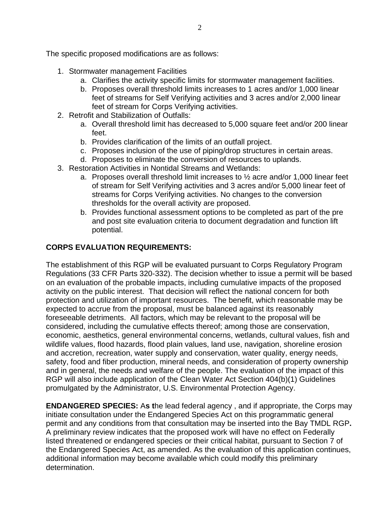The specific proposed modifications are as follows:

- 1. Stormwater management Facilities
	- a. Clarifies the activity specific limits for stormwater management facilities.
	- b. Proposes overall threshold limits increases to 1 acres and/or 1,000 linear feet of streams for Self Verifying activities and 3 acres and/or 2,000 linear feet of stream for Corps Verifying activities.
- 2. Retrofit and Stabilization of Outfalls:
	- a. Overall threshold limit has decreased to 5,000 square feet and/or 200 linear feet.
	- b. Provides clarification of the limits of an outfall project.
	- c. Proposes inclusion of the use of piping/drop structures in certain areas.
	- d. Proposes to eliminate the conversion of resources to uplands.
- 3. Restoration Activities in Nontidal Streams and Wetlands:
	- a. Proposes overall threshold limit increases to ½ acre and/or 1,000 linear feet of stream for Self Verifying activities and 3 acres and/or 5,000 linear feet of streams for Corps Verifying activities. No changes to the conversion thresholds for the overall activity are proposed.
	- b. Provides functional assessment options to be completed as part of the pre and post site evaluation criteria to document degradation and function lift potential.

## **CORPS EVALUATION REQUIREMENTS:**

The establishment of this RGP will be evaluated pursuant to Corps Regulatory Program Regulations (33 CFR Parts 320-332). The decision whether to issue a permit will be based on an evaluation of the probable impacts, including cumulative impacts of the proposed activity on the public interest. That decision will reflect the national concern for both protection and utilization of important resources. The benefit, which reasonable may be expected to accrue from the proposal, must be balanced against its reasonably foreseeable detriments. All factors, which may be relevant to the proposal will be considered, including the cumulative effects thereof; among those are conservation, economic, aesthetics, general environmental concerns, wetlands, cultural values, fish and wildlife values, flood hazards, flood plain values, land use, navigation, shoreline erosion and accretion, recreation, water supply and conservation, water quality, energy needs, safety, food and fiber production, mineral needs, and consideration of property ownership and in general, the needs and welfare of the people. The evaluation of the impact of this RGP will also include application of the Clean Water Act Section 404(b)(1) Guidelines promulgated by the Administrator, U.S. Environmental Protection Agency.

**ENDANGERED SPECIES:** A**s t**he lead federal agency , and if appropriate, the Corps may initiate consultation under the Endangered Species Act on this programmatic general permit and any conditions from that consultation may be inserted into the Bay TMDL RGP**.** A preliminary review indicates that the proposed work will have no effect on Federally listed threatened or endangered species or their critical habitat, pursuant to Section 7 of the Endangered Species Act, as amended. As the evaluation of this application continues, additional information may become available which could modify this preliminary determination.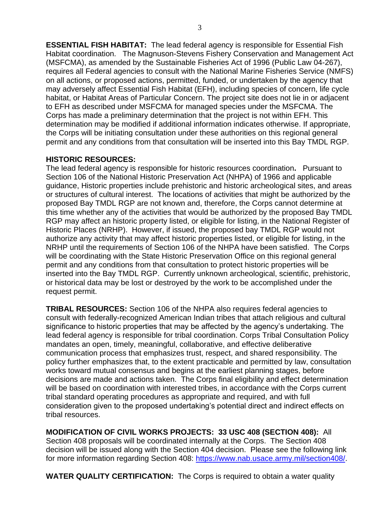**ESSENTIAL FISH HABITAT:** The lead federal agency is responsible for Essential Fish Habitat coordination.The Magnuson-Stevens Fishery Conservation and Management Act (MSFCMA), as amended by the Sustainable Fisheries Act of 1996 (Public Law 04-267), requires all Federal agencies to consult with the National Marine Fisheries Service (NMFS) on all actions, or proposed actions, permitted, funded, or undertaken by the agency that may adversely affect Essential Fish Habitat (EFH), including species of concern, life cycle habitat, or Habitat Areas of Particular Concern. The project site does not lie in or adjacent to EFH as described under MSFCMA for managed species under the MSFCMA. The Corps has made a preliminary determination that the project is not within EFH. This determination may be modified if additional information indicates otherwise. If appropriate, the Corps will be initiating consultation under these authorities on this regional general permit and any conditions from that consultation will be inserted into this Bay TMDL RGP.

#### **HISTORIC RESOURCES:**

The lead federal agency is responsible for historic resources coordination**.** Pursuant to Section 106 of the National Historic Preservation Act (NHPA) of 1966 and applicable guidance, Historic properties include prehistoric and historic archeological sites, and areas or structures of cultural interest. The locations of activities that might be authorized by the proposed Bay TMDL RGP are not known and, therefore, the Corps cannot determine at this time whether any of the activities that would be authorized by the proposed Bay TMDL RGP may affect an historic property listed, or eligible for listing, in the National Register of Historic Places (NRHP). However, if issued, the proposed bay TMDL RGP would not authorize any activity that may affect historic properties listed, or eligible for listing, in the NRHP until the requirements of Section 106 of the NHPA have been satisfied. The Corps will be coordinating with the State Historic Preservation Office on this regional general permit and any conditions from that consultation to protect historic properties will be inserted into the Bay TMDL RGP. Currently unknown archeological, scientific, prehistoric, or historical data may be lost or destroyed by the work to be accomplished under the request permit.

**TRIBAL RESOURCES:** Section 106 of the NHPA also requires federal agencies to consult with federally-recognized American Indian tribes that attach religious and cultural significance to historic properties that may be affected by the agency's undertaking. The lead federal agency is responsible for tribal coordination. Corps Tribal Consultation Policy mandates an open, timely, meaningful, collaborative, and effective deliberative communication process that emphasizes trust, respect, and shared responsibility. The policy further emphasizes that, to the extent practicable and permitted by law, consultation works toward mutual consensus and begins at the earliest planning stages, before decisions are made and actions taken. The Corps final eligibility and effect determination will be based on coordination with interested tribes, in accordance with the Corps current tribal standard operating procedures as appropriate and required, and with full consideration given to the proposed undertaking's potential direct and indirect effects on tribal resources.

**MODIFICATION OF CIVIL WORKS PROJECTS: 33 USC 408 (SECTION 408):** All Section 408 proposals will be coordinated internally at the Corps. The Section 408 decision will be issued along with the Section 404 decision. Please see the following link for more information regarding Section 408: [https://www.nab.usace.army.mil/section408/.](https://www.nab.usace.army.mil/section408/)

**WATER QUALITY CERTIFICATION:** The Corps is required to obtain a water quality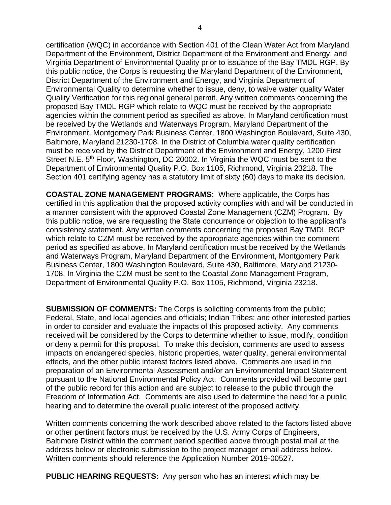certification (WQC) in accordance with Section 401 of the Clean Water Act from Maryland Department of the Environment, District Department of the Environment and Energy, and Virginia Department of Environmental Quality prior to issuance of the Bay TMDL RGP. By this public notice, the Corps is requesting the Maryland Department of the Environment, District Department of the Environment and Energy, and Virginia Department of Environmental Quality to determine whether to issue, deny, to waive water quality Water Quality Verification for this regional general permit. Any written comments concerning the proposed Bay TMDL RGP which relate to WQC must be received by the appropriate agencies within the comment period as specified as above. In Maryland certification must be received by the Wetlands and Waterways Program, Maryland Department of the Environment, Montgomery Park Business Center, 1800 Washington Boulevard, Suite 430, Baltimore, Maryland 21230-1708. In the District of Columbia water quality certification must be received by the District Department of the Environment and Energy, 1200 First Street N.E. 5<sup>th</sup> Floor, Washington, DC 20002. In Virginia the WQC must be sent to the Department of Environmental Quality P.O. Box 1105, Richmond, Virginia 23218. The Section 401 certifying agency has a statutory limit of sixty (60) days to make its decision.

**COASTAL ZONE MANAGEMENT PROGRAMS:** Where applicable, the Corps has certified in this application that the proposed activity complies with and will be conducted in a manner consistent with the approved Coastal Zone Management (CZM) Program. By this public notice, we are requesting the State concurrence or objection to the applicant's consistency statement. Any written comments concerning the proposed Bay TMDL RGP which relate to CZM must be received by the appropriate agencies within the comment period as specified as above. In Maryland certification must be received by the Wetlands and Waterways Program, Maryland Department of the Environment, Montgomery Park Business Center, 1800 Washington Boulevard, Suite 430, Baltimore, Maryland 21230- 1708. In Virginia the CZM must be sent to the Coastal Zone Management Program, Department of Environmental Quality P.O. Box 1105, Richmond, Virginia 23218.

**SUBMISSION OF COMMENTS:** The Corps is soliciting comments from the public; Federal, State, and local agencies and officials; Indian Tribes; and other interested parties in order to consider and evaluate the impacts of this proposed activity. Any comments received will be considered by the Corps to determine whether to issue, modify, condition or deny a permit for this proposal. To make this decision, comments are used to assess impacts on endangered species, historic properties, water quality, general environmental effects, and the other public interest factors listed above. Comments are used in the preparation of an Environmental Assessment and/or an Environmental Impact Statement pursuant to the National Environmental Policy Act. Comments provided will become part of the public record for this action and are subject to release to the public through the Freedom of Information Act. Comments are also used to determine the need for a public hearing and to determine the overall public interest of the proposed activity.

Written comments concerning the work described above related to the factors listed above or other pertinent factors must be received by the U.S. Army Corps of Engineers, Baltimore District within the comment period specified above through postal mail at the address below or electronic submission to the project manager email address below. Written comments should reference the Application Number 2019-00527.

**PUBLIC HEARING REQUESTS:** Any person who has an interest which may be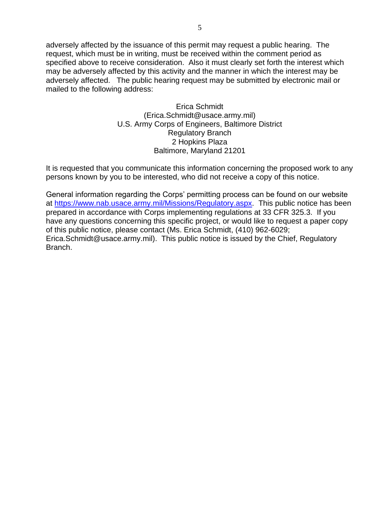adversely affected by the issuance of this permit may request a public hearing. The request, which must be in writing, must be received within the comment period as specified above to receive consideration. Also it must clearly set forth the interest which may be adversely affected by this activity and the manner in which the interest may be adversely affected. The public hearing request may be submitted by electronic mail or mailed to the following address:

> Erica Schmidt (Erica.Schmidt@usace.army.mil) U.S. Army Corps of Engineers, Baltimore District Regulatory Branch 2 Hopkins Plaza Baltimore, Maryland 21201

It is requested that you communicate this information concerning the proposed work to any persons known by you to be interested, who did not receive a copy of this notice.

General information regarding the Corps' permitting process can be found on our website at [https://www.nab.usace.army.mil/Missions/Regulatory.aspx.](https://www.nab.usace.army.mil/Missions/Regulatory.aspx) This public notice has been prepared in accordance with Corps implementing regulations at 33 CFR 325.3. If you have any questions concerning this specific project, or would like to request a paper copy of this public notice, please contact (Ms. Erica Schmidt, (410) 962-6029; Erica.Schmidt@usace.army.mil). This public notice is issued by the Chief, Regulatory Branch.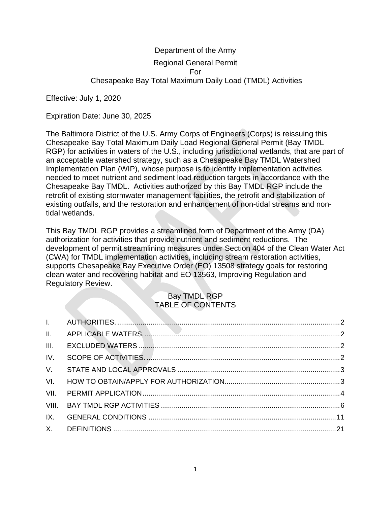# Department of the Army Regional General Permit For Chesapeake Bay Total Maximum Daily Load (TMDL) Activities

Effective: July 1, 2020

Expiration Date: June 30, 2025

The Baltimore District of the U.S. Army Corps of Engineers (Corps) is reissuing this Chesapeake Bay Total Maximum Daily Load Regional General Permit (Bay TMDL RGP) for activities in waters of the U.S., including jurisdictional wetlands, that are part of an acceptable watershed strategy, such as a Chesapeake Bay TMDL Watershed Implementation Plan (WIP), whose purpose is to identify implementation activities needed to meet nutrient and sediment load reduction targets in accordance with the Chesapeake Bay TMDL. Activities authorized by this Bay TMDL RGP include the retrofit of existing stormwater management facilities, the retrofit and stabilization of existing outfalls, and the restoration and enhancement of non-tidal streams and nontidal wetlands.

This Bay TMDL RGP provides a streamlined form of Department of the Army (DA) authorization for activities that provide nutrient and sediment reductions. The development of permit streamlining measures under Section 404 of the Clean Water Act (CWA) for TMDL implementation activities, including stream restoration activities, supports Chesapeake Bay Executive Order (EO) 13508 strategy goals for restoring clean water and recovering habitat and EO 13563, Improving Regulation and Regulatory Review.

## Bay TMDL RGP TABLE OF CONTENTS

| III. |  |
|------|--|
| IV.  |  |
|      |  |
| VI.  |  |
| VII. |  |
|      |  |
| IX.  |  |
|      |  |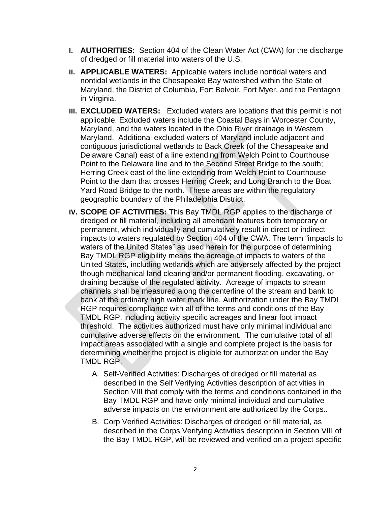- <span id="page-6-0"></span>**I. AUTHORITIES:** Section 404 of the Clean Water Act (CWA) for the discharge of dredged or fill material into waters of the U.S.
- <span id="page-6-1"></span>**II. APPLICABLE WATERS:** Applicable waters include nontidal waters and nontidal wetlands in the Chesapeake Bay watershed within the State of Maryland, the District of Columbia, Fort Belvoir, Fort Myer, and the Pentagon in Virginia.
- <span id="page-6-2"></span>**III. EXCLUDED WATERS:** Excluded waters are locations that this permit is not applicable. Excluded waters include the Coastal Bays in Worcester County, Maryland, and the waters located in the Ohio River drainage in Western Maryland. Additional excluded waters of Maryland include adjacent and contiguous jurisdictional wetlands to Back Creek (of the Chesapeake and Delaware Canal) east of a line extending from Welch Point to Courthouse Point to the Delaware line and to the Second Street Bridge to the south; Herring Creek east of the line extending from Welch Point to Courthouse Point to the dam that crosses Herring Creek; and Long Branch to the Boat Yard Road Bridge to the north. These areas are within the regulatory geographic boundary of the Philadelphia District.
- <span id="page-6-3"></span>**IV. SCOPE OF ACTIVITIES:** This Bay TMDL RGP applies to the discharge of dredged or fill material, including all attendant features both temporary or permanent, which individually and cumulatively result in direct or indirect impacts to waters regulated by Section 404 of the CWA. The term "impacts to waters of the United States" as used herein for the purpose of determining Bay TMDL RGP eligibility means the acreage of impacts to waters of the United States, including wetlands which are adversely affected by the project though mechanical land clearing and/or permanent flooding, excavating, or draining because of the regulated activity. Acreage of impacts to stream channels shall be measured along the centerline of the stream and bank to bank at the ordinary high water mark line. Authorization under the Bay TMDL RGP requires compliance with all of the terms and conditions of the Bay TMDL RGP, including activity specific acreages and linear foot impact threshold. The activities authorized must have only minimal individual and cumulative adverse effects on the environment. The cumulative total of all impact areas associated with a single and complete project is the basis for determining whether the project is eligible for authorization under the Bay TMDL RGP.
	- A. Self-Verified Activities: Discharges of dredged or fill material as described in the Self Verifying Activities description of activities in Section VIII that comply with the terms and conditions contained in the Bay TMDL RGP and have only minimal individual and cumulative adverse impacts on the environment are authorized by the Corps..
	- B. Corp Verified Activities: Discharges of dredged or fill material, as described in the Corps Verifying Activities description in Section VIII of the Bay TMDL RGP, will be reviewed and verified on a project-specific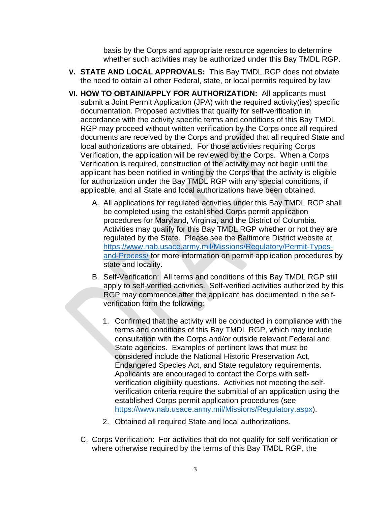basis by the Corps and appropriate resource agencies to determine whether such activities may be authorized under this Bay TMDL RGP.

- <span id="page-7-0"></span>**V. STATE AND LOCAL APPROVALS:** This Bay TMDL RGP does not obviate the need to obtain all other Federal, state, or local permits required by law
- <span id="page-7-1"></span>**VI. HOW TO OBTAIN/APPLY FOR AUTHORIZATION:** All applicants must submit a Joint Permit Application (JPA) with the required activity(ies) specific documentation. Proposed activities that qualify for self-verification in accordance with the activity specific terms and conditions of this Bay TMDL RGP may proceed without written verification by the Corps once all required documents are received by the Corps and provided that all required State and local authorizations are obtained. For those activities requiring Corps Verification, the application will be reviewed by the Corps. When a Corps Verification is required, construction of the activity may not begin until the applicant has been notified in writing by the Corps that the activity is eligible for authorization under the Bay TMDL RGP with any special conditions, if applicable, and all State and local authorizations have been obtained.
	- A. All applications for regulated activities under this Bay TMDL RGP shall be completed using the established Corps permit application procedures for Maryland, Virginia, and the District of Columbia. Activities may qualify for this Bay TMDL RGP whether or not they are regulated by the State. Please see the Baltimore District website at [https://www.nab.usace.army.mil/Missions/Regulatory/Permit-Types](https://www.nab.usace.army.mil/Missions/Regulatory/Permit-Types-and-Process/)[and-Process/](https://www.nab.usace.army.mil/Missions/Regulatory/Permit-Types-and-Process/) for more information on permit application procedures by state and locality.
	- B. Self-Verification: All terms and conditions of this Bay TMDL RGP still apply to self-verified activities. Self-verified activities authorized by this RGP may commence after the applicant has documented in the selfverification form the following:
		- 1. Confirmed that the activity will be conducted in compliance with the terms and conditions of this Bay TMDL RGP, which may include consultation with the Corps and/or outside relevant Federal and State agencies. Examples of pertinent laws that must be considered include the National Historic Preservation Act, Endangered Species Act, and State regulatory requirements. Applicants are encouraged to contact the Corps with selfverification eligibility questions. Activities not meeting the selfverification criteria require the submittal of an application using the established Corps permit application procedures (see [https://www.nab.usace.army.mil/Missions/Regulatory.aspx\)](https://www.nab.usace.army.mil/Missions/Regulatory.aspx).
		- 2. Obtained all required State and local authorizations.
	- C. Corps Verification: For activities that do not qualify for self-verification or where otherwise required by the terms of this Bay TMDL RGP, the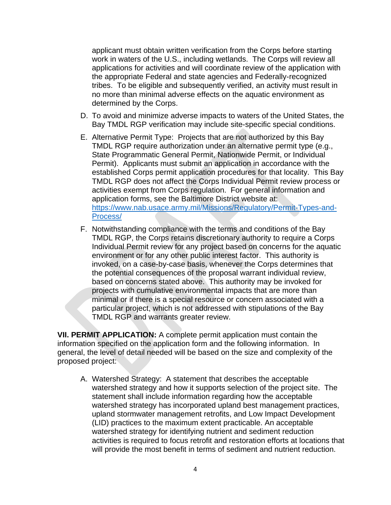applicant must obtain written verification from the Corps before starting work in waters of the U.S., including wetlands. The Corps will review all applications for activities and will coordinate review of the application with the appropriate Federal and state agencies and Federally-recognized tribes. To be eligible and subsequently verified, an activity must result in no more than minimal adverse effects on the aquatic environment as determined by the Corps.

- D. To avoid and minimize adverse impacts to waters of the United States, the Bay TMDL RGP verification may include site-specific special conditions.
- E. Alternative Permit Type: Projects that are not authorized by this Bay TMDL RGP require authorization under an alternative permit type (e.g., State Programmatic General Permit, Nationwide Permit, or Individual Permit). Applicants must submit an application in accordance with the established Corps permit application procedures for that locality. This Bay TMDL RGP does not affect the Corps Individual Permit review process or activities exempt from Corps regulation. For general information and application forms, see the Baltimore District website at: [https://www.nab.usace.army.mil/Missions/Regulatory/Permit-Types-and-](https://www.nab.usace.army.mil/Missions/Regulatory/Permit-Types-and-Process/)[Process/](https://www.nab.usace.army.mil/Missions/Regulatory/Permit-Types-and-Process/)
- F. Notwithstanding compliance with the terms and conditions of the Bay TMDL RGP, the Corps retains discretionary authority to require a Corps Individual Permit review for any project based on concerns for the aquatic environment or for any other public interest factor. This authority is invoked, on a case-by-case basis, whenever the Corps determines that the potential consequences of the proposal warrant individual review, based on concerns stated above. This authority may be invoked for projects with cumulative environmental impacts that are more than minimal or if there is a special resource or concern associated with a particular project, which is not addressed with stipulations of the Bay TMDL RGP and warrants greater review.

<span id="page-8-0"></span>**VII. PERMIT APPLICATION:** A complete permit application must contain the information specified on the application form and the following information. In general, the level of detail needed will be based on the size and complexity of the proposed project:

A. Watershed Strategy: A statement that describes the acceptable watershed strategy and how it supports selection of the project site. The statement shall include information regarding how the acceptable watershed strategy has incorporated upland best management practices, upland stormwater management retrofits, and Low Impact Development (LID) practices to the maximum extent practicable. An acceptable watershed strategy for identifying nutrient and sediment reduction activities is required to focus retrofit and restoration efforts at locations that will provide the most benefit in terms of sediment and nutrient reduction.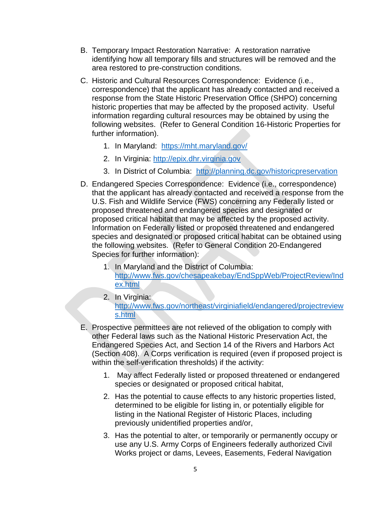- B. Temporary Impact Restoration Narrative: A restoration narrative identifying how all temporary fills and structures will be removed and the area restored to pre-construction conditions.
- C. Historic and Cultural Resources Correspondence: Evidence (i.e., correspondence) that the applicant has already contacted and received a response from the State Historic Preservation Office (SHPO) concerning historic properties that may be affected by the proposed activity. Useful information regarding cultural resources may be obtained by using the following websites. (Refer to General Condition 16-Historic Properties for further information).
	- 1. In Maryland: <https://mht.maryland.gov/>
	- 2. In Virginia: [http://epix.dhr.virginia.gov](http://epix.dhr.virginia.gov/)
	- 3. In District of Columbia: <http://planning.dc.gov/historicpreservation>
- D. Endangered Species Correspondence: Evidence (i.e., correspondence) that the applicant has already contacted and received a response from the U.S. Fish and Wildlife Service (FWS) concerning any Federally listed or proposed threatened and endangered species and designated or proposed critical habitat that may be affected by the proposed activity. Information on Federally listed or proposed threatened and endangered species and designated or proposed critical habitat can be obtained using the following websites. (Refer to General Condition 20-Endangered Species for further information):
	- 1. In Maryland and the District of Columbia: [http://www.fws.gov/chesapeakebay/EndSppWeb/ProjectReview/Ind](http://www.fws.gov/chesapeakebay/EndSppWeb/ProjectReview/Index.html) [ex.html](http://www.fws.gov/chesapeakebay/EndSppWeb/ProjectReview/Index.html)
	- 2. In Virginia: [http://www.fws.gov/northeast/virginiafield/endangered/projectreview](http://www.fws.gov/northeast/virginiafield/endangered/projectreviews.html) [s.html](http://www.fws.gov/northeast/virginiafield/endangered/projectreviews.html)
- E. Prospective permittees are not relieved of the obligation to comply with other Federal laws such as the National Historic Preservation Act, the Endangered Species Act, and Section 14 of the Rivers and Harbors Act (Section 408). A Corps verification is required (even if proposed project is within the self-verification thresholds) if the activity:
	- 1. May affect Federally listed or proposed threatened or endangered species or designated or proposed critical habitat,
	- 2. Has the potential to cause effects to any historic properties listed, determined to be eligible for listing in, or potentially eligible for listing in the National Register of Historic Places, including previously unidentified properties and/or,
	- 3. Has the potential to alter, or temporarily or permanently occupy or use any U.S. Army Corps of Engineers federally authorized Civil Works project or dams, Levees, Easements, Federal Navigation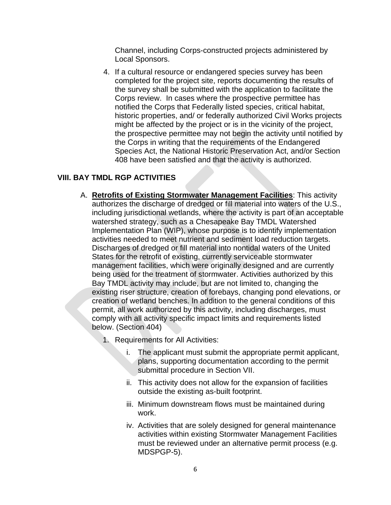Channel, including Corps-constructed projects administered by Local Sponsors.

4. If a cultural resource or endangered species survey has been completed for the project site, reports documenting the results of the survey shall be submitted with the application to facilitate the Corps review. In cases where the prospective permittee has notified the Corps that Federally listed species, critical habitat, historic properties, and/ or federally authorized Civil Works projects might be affected by the project or is in the vicinity of the project, the prospective permittee may not begin the activity until notified by the Corps in writing that the requirements of the Endangered Species Act, the National Historic Preservation Act, and/or Section 408 have been satisfied and that the activity is authorized.

#### <span id="page-10-0"></span>**VIII. BAY TMDL RGP ACTIVITIES**

- A. **Retrofits of Existing Stormwater Management Facilities**: This activity authorizes the discharge of dredged or fill material into waters of the U.S., including jurisdictional wetlands, where the activity is part of an acceptable watershed strategy, such as a Chesapeake Bay TMDL Watershed Implementation Plan (WIP), whose purpose is to identify implementation activities needed to meet nutrient and sediment load reduction targets. Discharges of dredged or fill material into nontidal waters of the United States for the retrofit of existing, currently serviceable stormwater management facilities, which were originally designed and are currently being used for the treatment of stormwater. Activities authorized by this Bay TMDL activity may include, but are not limited to, changing the existing riser structure, creation of forebays, changing pond elevations, or creation of wetland benches. In addition to the general conditions of this permit, all work authorized by this activity, including discharges, must comply with all activity specific impact limits and requirements listed below. (Section 404)
	- 1. Requirements for All Activities:
		- i. The applicant must submit the appropriate permit applicant, plans, supporting documentation according to the permit submittal procedure in Section VII.
		- ii. This activity does not allow for the expansion of facilities outside the existing as-built footprint.
		- iii. Minimum downstream flows must be maintained during work.
		- iv. Activities that are solely designed for general maintenance activities within existing Stormwater Management Facilities must be reviewed under an alternative permit process (e.g. MDSPGP-5).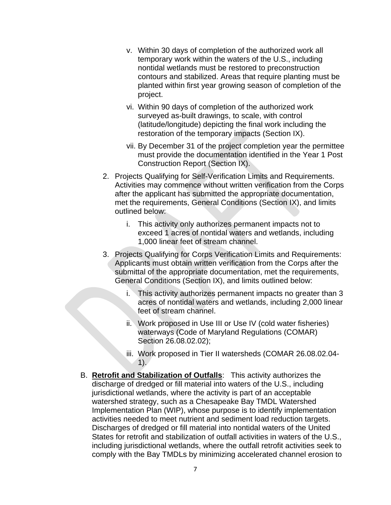- v. Within 30 days of completion of the authorized work all temporary work within the waters of the U.S., including nontidal wetlands must be restored to preconstruction contours and stabilized. Areas that require planting must be planted within first year growing season of completion of the project.
- vi. Within 90 days of completion of the authorized work surveyed as-built drawings, to scale, with control (latitude/longitude) depicting the final work including the restoration of the temporary impacts (Section IX).
- vii. By December 31 of the project completion year the permittee must provide the documentation identified in the Year 1 Post Construction Report (Section IX).
- 2. Projects Qualifying for Self-Verification Limits and Requirements. Activities may commence without written verification from the Corps after the applicant has submitted the appropriate documentation, met the requirements, General Conditions (Section IX), and limits outlined below:
	- i. This activity only authorizes permanent impacts not to exceed 1 acres of nontidal waters and wetlands, including 1,000 linear feet of stream channel.
- 3. Projects Qualifying for Corps Verification Limits and Requirements: Applicants must obtain written verification from the Corps after the submittal of the appropriate documentation, met the requirements, General Conditions (Section IX), and limits outlined below:
	- i. This activity authorizes permanent impacts no greater than 3 acres of nontidal waters and wetlands, including 2,000 linear feet of stream channel.
	- ii. Work proposed in Use III or Use IV (cold water fisheries) waterways (Code of Maryland Regulations (COMAR) Section 26.08.02.02);
	- iii. Work proposed in Tier II watersheds (COMAR 26.08.02.04-  $1)$ .
- B. **Retrofit and Stabilization of Outfalls**: This activity authorizes the discharge of dredged or fill material into waters of the U.S., including jurisdictional wetlands, where the activity is part of an acceptable watershed strategy, such as a Chesapeake Bay TMDL Watershed Implementation Plan (WIP), whose purpose is to identify implementation activities needed to meet nutrient and sediment load reduction targets. Discharges of dredged or fill material into nontidal waters of the United States for retrofit and stabilization of outfall activities in waters of the U.S., including jurisdictional wetlands, where the outfall retrofit activities seek to comply with the Bay TMDLs by minimizing accelerated channel erosion to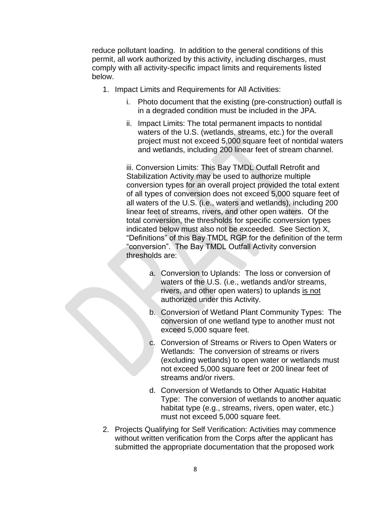reduce pollutant loading. In addition to the general conditions of this permit, all work authorized by this activity, including discharges, must comply with all activity-specific impact limits and requirements listed below.

- 1. Impact Limits and Requirements for All Activities:
	- i. Photo document that the existing (pre-construction) outfall is in a degraded condition must be included in the JPA.
	- ii. Impact Limits: The total permanent impacts to nontidal waters of the U.S. (wetlands, streams, etc.) for the overall project must not exceed 5,000 square feet of nontidal waters and wetlands, including 200 linear feet of stream channel.

iii. Conversion Limits: This Bay TMDL Outfall Retrofit and Stabilization Activity may be used to authorize multiple conversion types for an overall project provided the total extent of all types of conversion does not exceed 5,000 square feet of all waters of the U.S. (i.e., waters and wetlands), including 200 linear feet of streams, rivers, and other open waters. Of the total conversion, the thresholds for specific conversion types indicated below must also not be exceeded. See Section X, "Definitions" of this Bay TMDL RGP for the definition of the term "conversion". The Bay TMDL Outfall Activity conversion thresholds are:

- a. Conversion to Uplands: The loss or conversion of waters of the U.S. (i.e., wetlands and/or streams, rivers, and other open waters) to uplands is not authorized under this Activity.
- b. Conversion of Wetland Plant Community Types: The conversion of one wetland type to another must not exceed 5,000 square feet.
- c. Conversion of Streams or Rivers to Open Waters or Wetlands: The conversion of streams or rivers (excluding wetlands) to open water or wetlands must not exceed 5,000 square feet or 200 linear feet of streams and/or rivers.
- d. Conversion of Wetlands to Other Aquatic Habitat Type: The conversion of wetlands to another aquatic habitat type (e.g., streams, rivers, open water, etc.) must not exceed 5,000 square feet.
- 2. Projects Qualifying for Self Verification: Activities may commence without written verification from the Corps after the applicant has submitted the appropriate documentation that the proposed work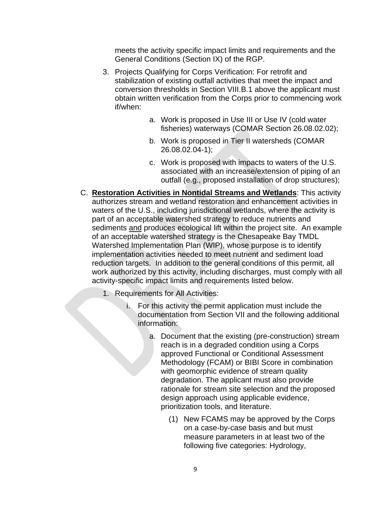meets the activity specific impact limits and requirements and the General Conditions (Section IX) of the RGP.

- 3. Projects Qualifying for Corps Verification: For retrofit and stabilization of existing outfall activities that meet the impact and conversion thresholds in Section VIII.B.1 above the applicant must obtain written verification from the Corps prior to commencing work if/when:
	- a. Work is proposed in Use III or Use IV (cold water fisheries) waterways (COMAR Section 26.08.02.02);
	- b. Work is proposed in Tier II watersheds (COMAR 26.08.02.04-1);
	- c. Work is proposed with impacts to waters of the U.S. associated with an increase/extension of piping of an outfall (e.g., proposed installation of drop structures);
- C. **Restoration Activities in Nontidal Streams and Wetlands**: This activity authorizes stream and wetland restoration and enhancement activities in waters of the U.S., including jurisdictional wetlands, where the activity is part of an acceptable watershed strategy to reduce nutrients and sediments and produces ecological lift within the project site. An example of an acceptable watershed strategy is the Chesapeake Bay TMDL Watershed Implementation Plan (WIP), whose purpose is to identify implementation activities needed to meet nutrient and sediment load reduction targets. In addition to the general conditions of this permit, all work authorized by this activity, including discharges, must comply with all activity-specific impact limits and requirements listed below.
	- 1. Requirements for All Activities:
		- i. For this activity the permit application must include the documentation from Section VII and the following additional information:
			- a. Document that the existing (pre-construction) stream reach is in a degraded condition using a Corps approved Functional or Conditional Assessment Methodology (FCAM) or BIBI Score in combination with geomorphic evidence of stream quality degradation. The applicant must also provide rationale for stream site selection and the proposed design approach using applicable evidence, prioritization tools, and literature.
				- (1) New FCAMS may be approved by the Corps on a case-by-case basis and but must measure parameters in at least two of the following five categories: Hydrology,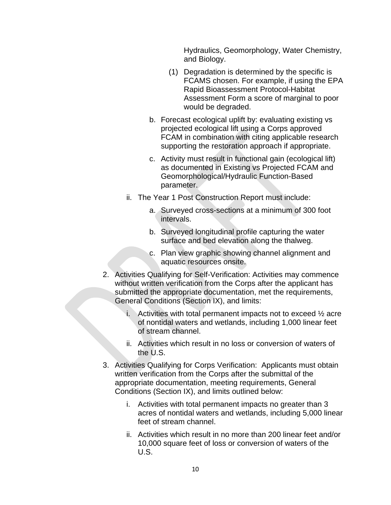Hydraulics, Geomorphology, Water Chemistry, and Biology.

- (1) Degradation is determined by the specific is FCAMS chosen. For example, if using the EPA Rapid Bioassessment Protocol-Habitat Assessment Form a score of marginal to poor would be degraded.
- b. Forecast ecological uplift by: evaluating existing vs projected ecological lift using a Corps approved FCAM in combination with citing applicable research supporting the restoration approach if appropriate.
- c. Activity must result in functional gain (ecological lift) as documented in Existing vs Projected FCAM and Geomorphological/Hydraulic Function-Based parameter.
- ii. The Year 1 Post Construction Report must include:
	- a. Surveyed cross-sections at a minimum of 300 foot intervals.
	- b. Surveyed longitudinal profile capturing the water surface and bed elevation along the thalweg.
	- c. Plan view graphic showing channel alignment and aquatic resources onsite.
- 2. Activities Qualifying for Self-Verification: Activities may commence without written verification from the Corps after the applicant has submitted the appropriate documentation, met the requirements, General Conditions (Section IX), and limits:
	- i. Activities with total permanent impacts not to exceed  $\frac{1}{2}$  acre of nontidal waters and wetlands, including 1,000 linear feet of stream channel.
	- ii. Activities which result in no loss or conversion of waters of the U.S.
- 3. Activities Qualifying for Corps Verification: Applicants must obtain written verification from the Corps after the submittal of the appropriate documentation, meeting requirements, General Conditions (Section IX), and limits outlined below:
	- i. Activities with total permanent impacts no greater than 3 acres of nontidal waters and wetlands, including 5,000 linear feet of stream channel.
	- ii. Activities which result in no more than 200 linear feet and/or 10,000 square feet of loss or conversion of waters of the U.S.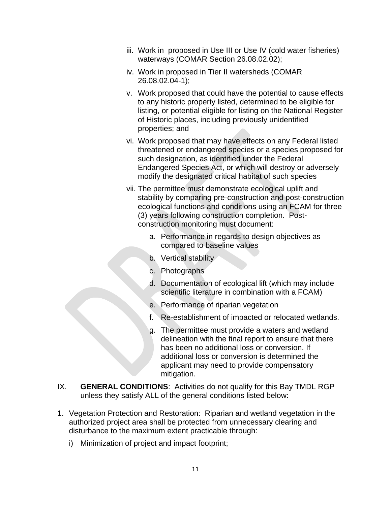- iii. Work in proposed in Use III or Use IV (cold water fisheries) waterways (COMAR Section 26.08.02.02);
- iv. Work in proposed in Tier II watersheds (COMAR 26.08.02.04-1);
- v. Work proposed that could have the potential to cause effects to any historic property listed, determined to be eligible for listing, or potential eligible for listing on the National Register of Historic places, including previously unidentified properties; and
- vi. Work proposed that may have effects on any Federal listed threatened or endangered species or a species proposed for such designation, as identified under the Federal Endangered Species Act, or which will destroy or adversely modify the designated critical habitat of such species
- vii. The permittee must demonstrate ecological uplift and stability by comparing pre-construction and post-construction ecological functions and conditions using an FCAM for three (3) years following construction completion. Postconstruction monitoring must document:
	- a. Performance in regards to design objectives as compared to baseline values
	- b. Vertical stability
	- c. Photographs
	- d. Documentation of ecological lift (which may include scientific literature in combination with a FCAM)
	- e. Performance of riparian vegetation
	- f. Re-establishment of impacted or relocated wetlands.
	- g. The permittee must provide a waters and wetland delineation with the final report to ensure that there has been no additional loss or conversion. If additional loss or conversion is determined the applicant may need to provide compensatory mitigation.
- <span id="page-15-0"></span>IX. **GENERAL CONDITIONS**: Activities do not qualify for this Bay TMDL RGP unless they satisfy ALL of the general conditions listed below:
- 1. Vegetation Protection and Restoration: Riparian and wetland vegetation in the authorized project area shall be protected from unnecessary clearing and disturbance to the maximum extent practicable through:
	- i) Minimization of project and impact footprint;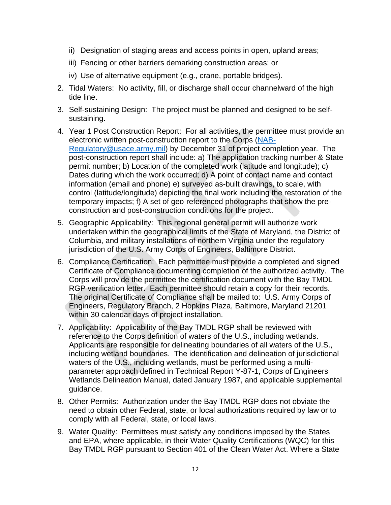- ii) Designation of staging areas and access points in open, upland areas;
- iii) Fencing or other barriers demarking construction areas; or
- iv) Use of alternative equipment (e.g., crane, portable bridges).
- 2. Tidal Waters: No activity, fill, or discharge shall occur channelward of the high tide line.
- 3. Self-sustaining Design: The project must be planned and designed to be selfsustaining.
- 4. Year 1 Post Construction Report: For all activities, the permittee must provide an electronic written post-construction report to the Corps [\(NAB-](mailto:NAB-Regulatory@usace.army.mil)[Regulatory@usace.army.mil\)](mailto:NAB-Regulatory@usace.army.mil) by December 31 of project completion year. The post-construction report shall include: a) The application tracking number & State permit number; b) Location of the completed work (latitude and longitude); c) Dates during which the work occurred; d) A point of contact name and contact information (email and phone) e) surveyed as-built drawings, to scale, with control (latitude/longitude) depicting the final work including the restoration of the temporary impacts; f) A set of geo-referenced photographs that show the preconstruction and post-construction conditions for the project.
- 5. Geographic Applicability: This regional general permit will authorize work undertaken within the geographical limits of the State of Maryland, the District of Columbia, and military installations of northern Virginia under the regulatory jurisdiction of the U.S. Army Corps of Engineers, Baltimore District.
- 6. Compliance Certification: Each permittee must provide a completed and signed Certificate of Compliance documenting completion of the authorized activity. The Corps will provide the permittee the certification document with the Bay TMDL RGP verification letter. Each permittee should retain a copy for their records. The original Certificate of Compliance shall be mailed to: U.S. Army Corps of Engineers, Regulatory Branch, 2 Hopkins Plaza, Baltimore, Maryland 21201 within 30 calendar days of project installation.
- 7. Applicability: Applicability of the Bay TMDL RGP shall be reviewed with reference to the Corps definition of waters of the U.S., including wetlands. Applicants are responsible for delineating boundaries of all waters of the U.S., including wetland boundaries. The identification and delineation of jurisdictional waters of the U.S., including wetlands, must be performed using a multiparameter approach defined in Technical Report Y-87-1, Corps of Engineers Wetlands Delineation Manual, dated January 1987, and applicable supplemental guidance.
- 8. Other Permits: Authorization under the Bay TMDL RGP does not obviate the need to obtain other Federal, state, or local authorizations required by law or to comply with all Federal, state, or local laws.
- 9. Water Quality: Permittees must satisfy any conditions imposed by the States and EPA, where applicable, in their Water Quality Certifications (WQC) for this Bay TMDL RGP pursuant to Section 401 of the Clean Water Act. Where a State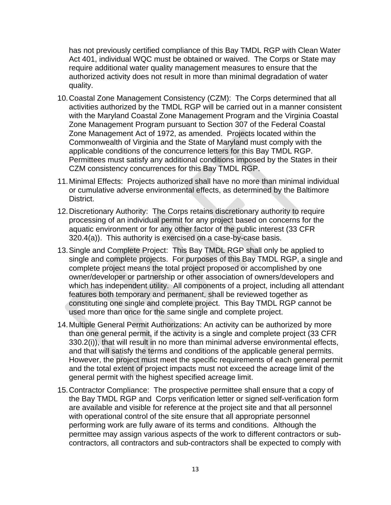has not previously certified compliance of this Bay TMDL RGP with Clean Water Act 401, individual WQC must be obtained or waived. The Corps or State may require additional water quality management measures to ensure that the authorized activity does not result in more than minimal degradation of water quality.

- 10.Coastal Zone Management Consistency (CZM): The Corps determined that all activities authorized by the TMDL RGP will be carried out in a manner consistent with the Maryland Coastal Zone Management Program and the Virginia Coastal Zone Management Program pursuant to Section 307 of the Federal Coastal Zone Management Act of 1972, as amended. Projects located within the Commonwealth of Virginia and the State of Maryland must comply with the applicable conditions of the concurrence letters for this Bay TMDL RGP. Permittees must satisfy any additional conditions imposed by the States in their CZM consistency concurrences for this Bay TMDL RGP.
- 11.Minimal Effects: Projects authorized shall have no more than minimal individual or cumulative adverse environmental effects, as determined by the Baltimore District.
- 12.Discretionary Authority: The Corps retains discretionary authority to require processing of an individual permit for any project based on concerns for the aquatic environment or for any other factor of the public interest (33 CFR 320.4(a)). This authority is exercised on a case-by-case basis.
- 13.Single and Complete Project: This Bay TMDL RGP shall only be applied to single and complete projects. For purposes of this Bay TMDL RGP, a single and complete project means the total project proposed or accomplished by one owner/developer or partnership or other association of owners/developers and which has independent utility. All components of a project, including all attendant features both temporary and permanent, shall be reviewed together as constituting one single and complete project. This Bay TMDL RGP cannot be used more than once for the same single and complete project.
- 14.Multiple General Permit Authorizations: An activity can be authorized by more than one general permit, if the activity is a single and complete project (33 CFR 330.2(i)), that will result in no more than minimal adverse environmental effects, and that will satisfy the terms and conditions of the applicable general permits. However, the project must meet the specific requirements of each general permit and the total extent of project impacts must not exceed the acreage limit of the general permit with the highest specified acreage limit.
- 15.Contractor Compliance: The prospective permittee shall ensure that a copy of the Bay TMDL RGP and Corps verification letter or signed self-verification form are available and visible for reference at the project site and that all personnel with operational control of the site ensure that all appropriate personnel performing work are fully aware of its terms and conditions. Although the permittee may assign various aspects of the work to different contractors or subcontractors, all contractors and sub-contractors shall be expected to comply with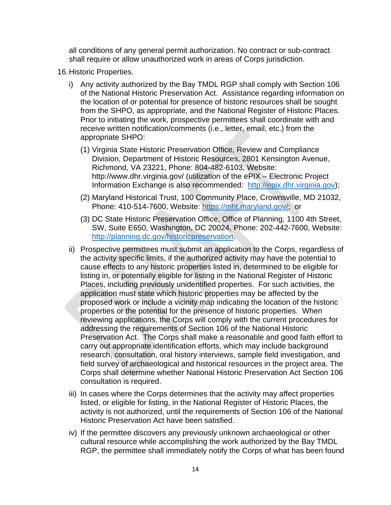all conditions of any general permit authorization. No contract or sub-contract shall require or allow unauthorized work in areas of Corps jurisdiction.

- 16.Historic Properties.
	- i) Any activity authorized by the Bay TMDL RGP shall comply with Section 106 of the National Historic Preservation Act. Assistance regarding information on the location of or potential for presence of historic resources shall be sought from the SHPO, as appropriate, and the National Register of Historic Places. Prior to initiating the work, prospective permittees shall coordinate with and receive written notification/comments (i.e., letter, email, etc.) from the appropriate SHPO:
		- (1) Virginia State Historic Preservation Office, Review and Compliance Division, Department of Historic Resources, 2801 Kensington Avenue, Richmond, VA 23221, Phone: 804-482-6103, Website: http://www.dhr.virginia.gov/ (utilization of the ePIX – Electronic Project Information Exchange is also recommended: [http://epix.dhr.virginia.gov\)](http://epix.dhr.virginia.gov/);
		- (2) Maryland Historical Trust, 100 Community Place, Crownsville, MD 21032, Phone: 410-514-7600, Website: [https://mht.maryland.gov/;](https://mht.maryland.gov/) or
		- (3) DC State Historic Preservation Office, Office of Planning, 1100 4th Street, SW, Suite E650, Washington, DC 20024, Phone: 202-442-7600, Website: [http://planning.dc.gov/historicpreservation.](http://planning.dc.gov/historicpreservation)
	- ii) Prospective permittees must submit an application to the Corps, regardless of the activity specific limits, if the authorized activity may have the potential to cause effects to any historic properties listed in, determined to be eligible for listing in, or potentially eligible for listing in the National Register of Historic Places, including previously unidentified properties. For such activities, the application must state which historic properties may be affected by the proposed work or include a vicinity map indicating the location of the historic properties or the potential for the presence of historic properties. When reviewing applications, the Corps will comply with the current procedures for addressing the requirements of Section 106 of the National Historic Preservation Act. The Corps shall make a reasonable and good faith effort to carry out appropriate identification efforts, which may include background research, consultation, oral history interviews, sample field investigation, and field survey of archaeological and historical resources in the project area. The Corps shall determine whether National Historic Preservation Act Section 106 consultation is required.
	- iii) In cases where the Corps determines that the activity may affect properties listed, or eligible for listing, in the National Register of Historic Places, the activity is not authorized, until the requirements of Section 106 of the National Historic Preservation Act have been satisfied.
	- iv) If the permittee discovers any previously unknown archaeological or other cultural resource while accomplishing the work authorized by the Bay TMDL RGP, the permittee shall immediately notify the Corps of what has been found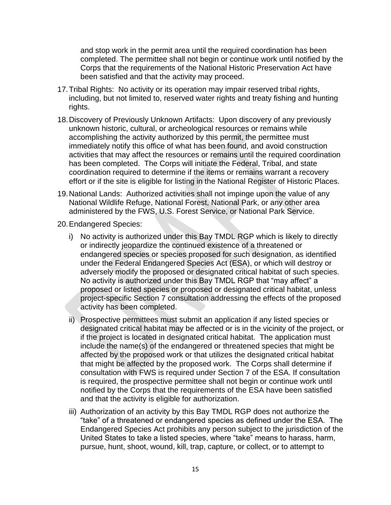and stop work in the permit area until the required coordination has been completed. The permittee shall not begin or continue work until notified by the Corps that the requirements of the National Historic Preservation Act have been satisfied and that the activity may proceed.

- 17.Tribal Rights: No activity or its operation may impair reserved tribal rights, including, but not limited to, reserved water rights and treaty fishing and hunting rights.
- 18.Discovery of Previously Unknown Artifacts: Upon discovery of any previously unknown historic, cultural, or archeological resources or remains while accomplishing the activity authorized by this permit, the permittee must immediately notify this office of what has been found, and avoid construction activities that may affect the resources or remains until the required coordination has been completed. The Corps will initiate the Federal, Tribal, and state coordination required to determine if the items or remains warrant a recovery effort or if the site is eligible for listing in the National Register of Historic Places.
- 19.National Lands: Authorized activities shall not impinge upon the value of any National Wildlife Refuge, National Forest, National Park, or any other area administered by the FWS, U.S. Forest Service, or National Park Service.
- 20.Endangered Species:
	- i) No activity is authorized under this Bay TMDL RGP which is likely to directly or indirectly jeopardize the continued existence of a threatened or endangered species or species proposed for such designation, as identified under the Federal Endangered Species Act (ESA), or which will destroy or adversely modify the proposed or designated critical habitat of such species. No activity is authorized under this Bay TMDL RGP that "may affect" a proposed or listed species or proposed or designated critical habitat, unless project-specific Section 7 consultation addressing the effects of the proposed activity has been completed.
	- ii) Prospective permittees must submit an application if any listed species or designated critical habitat may be affected or is in the vicinity of the project, or if the project is located in designated critical habitat. The application must include the name(s) of the endangered or threatened species that might be affected by the proposed work or that utilizes the designated critical habitat that might be affected by the proposed work. The Corps shall determine if consultation with FWS is required under Section 7 of the ESA. If consultation is required, the prospective permittee shall not begin or continue work until notified by the Corps that the requirements of the ESA have been satisfied and that the activity is eligible for authorization.
	- iii) Authorization of an activity by this Bay TMDL RGP does not authorize the "take" of a threatened or endangered species as defined under the ESA. The Endangered Species Act prohibits any person subject to the jurisdiction of the United States to take a listed species, where "take" means to harass, harm, pursue, hunt, shoot, wound, kill, trap, capture, or collect, or to attempt to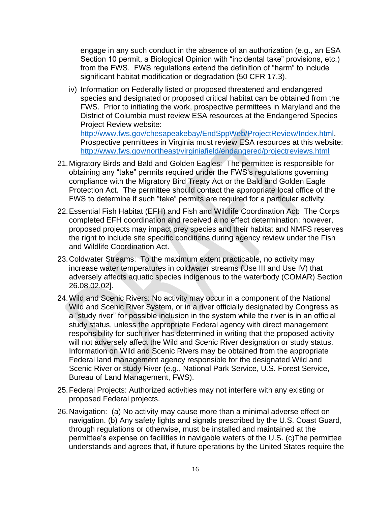engage in any such conduct in the absence of an authorization (e.g., an ESA Section 10 permit, a Biological Opinion with "incidental take" provisions, etc.) from the FWS. FWS regulations extend the definition of "harm" to include significant habitat modification or degradation (50 CFR 17.3).

iv) Information on Federally listed or proposed threatened and endangered species and designated or proposed critical habitat can be obtained from the FWS. Prior to initiating the work, prospective permittees in Maryland and the District of Columbia must review ESA resources at the Endangered Species Project Review website: [http://www.fws.gov/chesapeakebay/EndSppWeb/ProjectReview/Index.html.](http://www.fws.gov/chesapeakebay/EndSppWeb/ProjectReview/Index.html) Prospective permittees in Virginia must review ESA resources at this website:

<http://www.fws.gov/northeast/virginiafield/endangered/projectreviews.html>

- 21.Migratory Birds and Bald and Golden Eagles: The permittee is responsible for obtaining any "take" permits required under the FWS's regulations governing compliance with the Migratory Bird Treaty Act or the Bald and Golden Eagle Protection Act. The permittee should contact the appropriate local office of the FWS to determine if such "take" permits are required for a particular activity.
- 22.Essential Fish Habitat (EFH) and Fish and Wildlife Coordination Act: The Corps completed EFH coordination and received a no effect determination; however, proposed projects may impact prey species and their habitat and NMFS reserves the right to include site specific conditions during agency review under the Fish and Wildlife Coordination Act.
- 23.Coldwater Streams: To the maximum extent practicable, no activity may increase water temperatures in coldwater streams (Use III and Use IV) that adversely affects aquatic species indigenous to the waterbody (COMAR) Section 26.08.02.02].
- 24.Wild and Scenic Rivers: No activity may occur in a component of the National Wild and Scenic River System, or in a river officially designated by Congress as a "study river" for possible inclusion in the system while the river is in an official study status, unless the appropriate Federal agency with direct management responsibility for such river has determined in writing that the proposed activity will not adversely affect the Wild and Scenic River designation or study status. Information on Wild and Scenic Rivers may be obtained from the appropriate Federal land management agency responsible for the designated Wild and Scenic River or study River (e.g., National Park Service, U.S. Forest Service, Bureau of Land Management, FWS).
- 25.Federal Projects: Authorized activities may not interfere with any existing or proposed Federal projects.
- 26.Navigation: (a) No activity may cause more than a minimal adverse effect on navigation. (b) Any safety lights and signals prescribed by the U.S. Coast Guard, through regulations or otherwise, must be installed and maintained at the permittee's expense on facilities in navigable waters of the U.S. (c)The permittee understands and agrees that, if future operations by the United States require the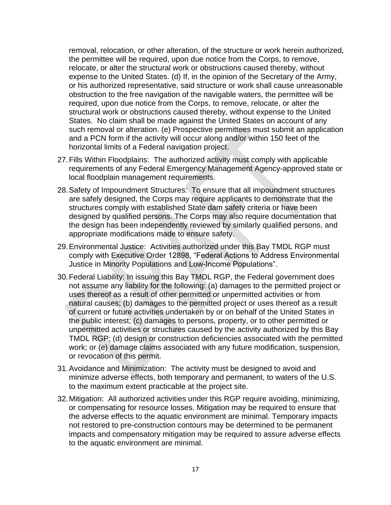removal, relocation, or other alteration, of the structure or work herein authorized, the permittee will be required, upon due notice from the Corps, to remove, relocate, or alter the structural work or obstructions caused thereby, without expense to the United States. (d) If, in the opinion of the Secretary of the Army, or his authorized representative, said structure or work shall cause unreasonable obstruction to the free navigation of the navigable waters, the permittee will be required, upon due notice from the Corps, to remove, relocate, or alter the structural work or obstructions caused thereby, without expense to the United States. No claim shall be made against the United States on account of any such removal or alteration. (e) Prospective permittees must submit an application and a PCN form if the activity will occur along and/or within 150 feet of the horizontal limits of a Federal navigation project.

- 27.Fills Within Floodplains: The authorized activity must comply with applicable requirements of any Federal Emergency Management Agency-approved state or local floodplain management requirements.
- 28.Safety of Impoundment Structures: To ensure that all impoundment structures are safely designed, the Corps may require applicants to demonstrate that the structures comply with established State dam safety criteria or have been designed by qualified persons. The Corps may also require documentation that the design has been independently reviewed by similarly qualified persons, and appropriate modifications made to ensure safety.
- 29.Environmental Justice: Activities authorized under this Bay TMDL RGP must comply with Executive Order 12898, "Federal Actions to Address Environmental Justice in Minority Populations and Low-Income Populations".
- 30.Federal Liability: In issuing this Bay TMDL RGP, the Federal government does not assume any liability for the following: (a) damages to the permitted project or uses thereof as a result of other permitted or unpermitted activities or from natural causes; (b) damages to the permitted project or uses thereof as a result of current or future activities undertaken by or on behalf of the United States in the public interest; (c) damages to persons, property, or to other permitted or unpermitted activities or structures caused by the activity authorized by this Bay TMDL RGP; (d) design or construction deficiencies associated with the permitted work; or (e) damage claims associated with any future modification, suspension, or revocation of this permit.
- 31.Avoidance and Minimization: The activity must be designed to avoid and minimize adverse effects, both temporary and permanent, to waters of the U.S. to the maximum extent practicable at the project site.
- 32.Mitigation: All authorized activities under this RGP require avoiding, minimizing, or compensating for resource losses. Mitigation may be required to ensure that the adverse effects to the aquatic environment are minimal. Temporary impacts not restored to pre-construction contours may be determined to be permanent impacts and compensatory mitigation may be required to assure adverse effects to the aquatic environment are minimal.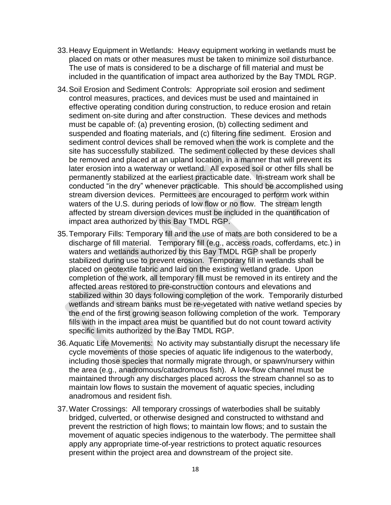- 33.Heavy Equipment in Wetlands: Heavy equipment working in wetlands must be placed on mats or other measures must be taken to minimize soil disturbance. The use of mats is considered to be a discharge of fill material and must be included in the quantification of impact area authorized by the Bay TMDL RGP.
- 34.Soil Erosion and Sediment Controls: Appropriate soil erosion and sediment control measures, practices, and devices must be used and maintained in effective operating condition during construction, to reduce erosion and retain sediment on-site during and after construction. These devices and methods must be capable of: (a) preventing erosion, (b) collecting sediment and suspended and floating materials, and (c) filtering fine sediment. Erosion and sediment control devices shall be removed when the work is complete and the site has successfully stabilized. The sediment collected by these devices shall be removed and placed at an upland location, in a manner that will prevent its later erosion into a waterway or wetland. All exposed soil or other fills shall be permanently stabilized at the earliest practicable date. In-stream work shall be conducted "in the dry" whenever practicable. This should be accomplished using stream diversion devices. Permittees are encouraged to perform work within waters of the U.S. during periods of low flow or no flow. The stream length affected by stream diversion devices must be included in the quantification of impact area authorized by this Bay TMDL RGP.
- 35.Temporary Fills: Temporary fill and the use of mats are both considered to be a discharge of fill material. Temporary fill (e.g., access roads, cofferdams, etc.) in waters and wetlands authorized by this Bay TMDL RGP shall be properly stabilized during use to prevent erosion. Temporary fill in wetlands shall be placed on geotextile fabric and laid on the existing wetland grade. Upon completion of the work, all temporary fill must be removed in its entirety and the affected areas restored to pre-construction contours and elevations and stabilized within 30 days following completion of the work. Temporarily disturbed wetlands and stream banks must be re-vegetated with native wetland species by the end of the first growing season following completion of the work. Temporary fills with in the impact area must be quantified but do not count toward activity specific limits authorized by the Bay TMDL RGP.
- 36.Aquatic Life Movements: No activity may substantially disrupt the necessary life cycle movements of those species of aquatic life indigenous to the waterbody, including those species that normally migrate through, or spawn/nursery within the area (e.g., anadromous/catadromous fish). A low-flow channel must be maintained through any discharges placed across the stream channel so as to maintain low flows to sustain the movement of aquatic species, including anadromous and resident fish.
- 37.Water Crossings: All temporary crossings of waterbodies shall be suitably bridged, culverted, or otherwise designed and constructed to withstand and prevent the restriction of high flows; to maintain low flows; and to sustain the movement of aquatic species indigenous to the waterbody. The permittee shall apply any appropriate time-of-year restrictions to protect aquatic resources present within the project area and downstream of the project site.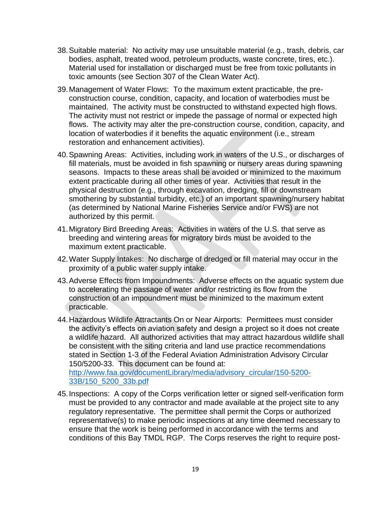- 38.Suitable material: No activity may use unsuitable material (e.g., trash, debris, car bodies, asphalt, treated wood, petroleum products, waste concrete, tires, etc.). Material used for installation or discharged must be free from toxic pollutants in toxic amounts (see Section 307 of the Clean Water Act).
- 39.Management of Water Flows: To the maximum extent practicable, the preconstruction course, condition, capacity, and location of waterbodies must be maintained. The activity must be constructed to withstand expected high flows. The activity must not restrict or impede the passage of normal or expected high flows. The activity may alter the pre-construction course, condition, capacity, and location of waterbodies if it benefits the aquatic environment (i.e., stream restoration and enhancement activities).
- 40.Spawning Areas: Activities, including work in waters of the U.S., or discharges of fill materials, must be avoided in fish spawning or nursery areas during spawning seasons. Impacts to these areas shall be avoided or minimized to the maximum extent practicable during all other times of year. Activities that result in the physical destruction (e.g., through excavation, dredging, fill or downstream smothering by substantial turbidity, etc.) of an important spawning/nursery habitat (as determined by National Marine Fisheries Service and/or FWS) are not authorized by this permit.
- 41.Migratory Bird Breeding Areas: Activities in waters of the U.S. that serve as breeding and wintering areas for migratory birds must be avoided to the maximum extent practicable.
- 42.Water Supply Intakes: No discharge of dredged or fill material may occur in the proximity of a public water supply intake.
- 43.Adverse Effects from Impoundments: Adverse effects on the aquatic system due to accelerating the passage of water and/or restricting its flow from the construction of an impoundment must be minimized to the maximum extent practicable.
- 44.Hazardous Wildlife Attractants On or Near Airports: Permittees must consider the activity's effects on aviation safety and design a project so it does not create a wildlife hazard. All authorized activities that may attract hazardous wildlife shall be consistent with the siting criteria and land use practice recommendations stated in Section 1-3 of the Federal Aviation Administration Advisory Circular 150/5200-33. This document can be found at: [http://www.faa.gov/documentLibrary/media/advisory\\_circular/150-5200-](http://www.faa.gov/documentLibrary/media/advisory_circular/150-5200-33B/150_5200_33b.pdf)

[33B/150\\_5200\\_33b.pdf](http://www.faa.gov/documentLibrary/media/advisory_circular/150-5200-33B/150_5200_33b.pdf)

45.Inspections: A copy of the Corps verification letter or signed self-verification form must be provided to any contractor and made available at the project site to any regulatory representative. The permittee shall permit the Corps or authorized representative(s) to make periodic inspections at any time deemed necessary to ensure that the work is being performed in accordance with the terms and conditions of this Bay TMDL RGP. The Corps reserves the right to require post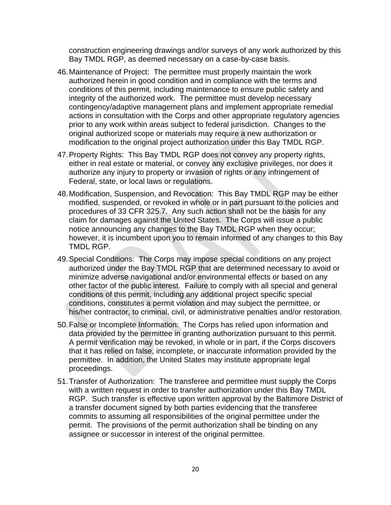construction engineering drawings and/or surveys of any work authorized by this Bay TMDL RGP, as deemed necessary on a case-by-case basis.

- 46.Maintenance of Project: The permittee must properly maintain the work authorized herein in good condition and in compliance with the terms and conditions of this permit, including maintenance to ensure public safety and integrity of the authorized work. The permittee must develop necessary contingency/adaptive management plans and implement appropriate remedial actions in consultation with the Corps and other appropriate regulatory agencies prior to any work within areas subject to federal jurisdiction. Changes to the original authorized scope or materials may require a new authorization or modification to the original project authorization under this Bay TMDL RGP.
- 47.Property Rights: This Bay TMDL RGP does not convey any property rights, either in real estate or material, or convey any exclusive privileges, nor does it authorize any injury to property or invasion of rights or any infringement of Federal, state, or local laws or regulations.
- 48.Modification, Suspension, and Revocation: This Bay TMDL RGP may be either modified, suspended, or revoked in whole or in part pursuant to the policies and procedures of 33 CFR 325.7. Any such action shall not be the basis for any claim for damages against the United States. The Corps will issue a public notice announcing any changes to the Bay TMDL RGP when they occur; however, it is incumbent upon you to remain informed of any changes to this Bay TMDL RGP.
- 49.Special Conditions: The Corps may impose special conditions on any project authorized under the Bay TMDL RGP that are determined necessary to avoid or minimize adverse navigational and/or environmental effects or based on any other factor of the public interest. Failure to comply with all special and general conditions of this permit, including any additional project specific special conditions, constitutes a permit violation and may subject the permittee, or his/her contractor, to criminal, civil, or administrative penalties and/or restoration.
- 50.False or Incomplete Information: The Corps has relied upon information and data provided by the permittee in granting authorization pursuant to this permit. A permit verification may be revoked, in whole or in part, if the Corps discovers that it has relied on false, incomplete, or inaccurate information provided by the permittee. In addition, the United States may institute appropriate legal proceedings.
- 51.Transfer of Authorization: The transferee and permittee must supply the Corps with a written request in order to transfer authorization under this Bay TMDL RGP. Such transfer is effective upon written approval by the Baltimore District of a transfer document signed by both parties evidencing that the transferee commits to assuming all responsibilities of the original permittee under the permit. The provisions of the permit authorization shall be binding on any assignee or successor in interest of the original permittee.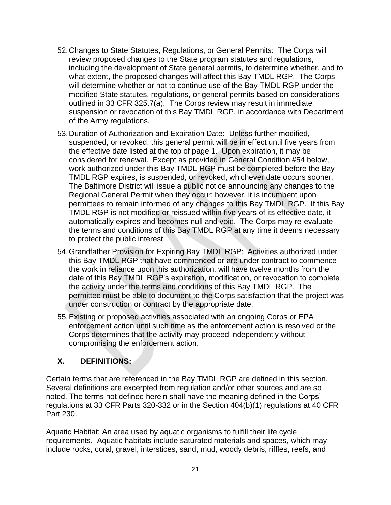- 52.Changes to State Statutes, Regulations, or General Permits: The Corps will review proposed changes to the State program statutes and regulations, including the development of State general permits, to determine whether, and to what extent, the proposed changes will affect this Bay TMDL RGP. The Corps will determine whether or not to continue use of the Bay TMDL RGP under the modified State statutes, regulations, or general permits based on considerations outlined in 33 CFR 325.7(a). The Corps review may result in immediate suspension or revocation of this Bay TMDL RGP, in accordance with Department of the Army regulations.
- 53.Duration of Authorization and Expiration Date: Unless further modified, suspended, or revoked, this general permit will be in effect until five years from the effective date listed at the top of page 1. Upon expiration, it may be considered for renewal. Except as provided in General Condition #54 below, work authorized under this Bay TMDL RGP must be completed before the Bay TMDL RGP expires, is suspended, or revoked, whichever date occurs sooner. The Baltimore District will issue a public notice announcing any changes to the Regional General Permit when they occur; however, it is incumbent upon permittees to remain informed of any changes to this Bay TMDL RGP. If this Bay TMDL RGP is not modified or reissued within five years of its effective date, it automatically expires and becomes null and void. The Corps may re-evaluate the terms and conditions of this Bay TMDL RGP at any time it deems necessary to protect the public interest.
- 54.Grandfather Provision for Expiring Bay TMDL RGP: Activities authorized under this Bay TMDL RGP that have commenced or are under contract to commence the work in reliance upon this authorization, will have twelve months from the date of this Bay TMDL RGP's expiration, modification, or revocation to complete the activity under the terms and conditions of this Bay TMDL RGP. The permittee must be able to document to the Corps satisfaction that the project was under construction or contract by the appropriate date.
- 55.Existing or proposed activities associated with an ongoing Corps or EPA enforcement action until such time as the enforcement action is resolved or the Corps determines that the activity may proceed independently without compromising the enforcement action.

## <span id="page-25-0"></span>**X. DEFINITIONS:**

Certain terms that are referenced in the Bay TMDL RGP are defined in this section. Several definitions are excerpted from regulation and/or other sources and are so noted. The terms not defined herein shall have the meaning defined in the Corps' regulations at 33 CFR Parts 320-332 or in the Section 404(b)(1) regulations at 40 CFR Part 230.

Aquatic Habitat: An area used by aquatic organisms to fulfill their life cycle requirements. Aquatic habitats include saturated materials and spaces, which may include rocks, coral, gravel, interstices, sand, mud, woody debris, riffles, reefs, and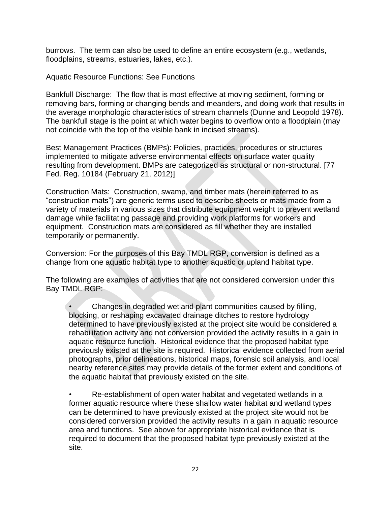burrows. The term can also be used to define an entire ecosystem (e.g., wetlands, floodplains, streams, estuaries, lakes, etc.).

Aquatic Resource Functions: See Functions

Bankfull Discharge: The flow that is most effective at moving sediment, forming or removing bars, forming or changing bends and meanders, and doing work that results in the average morphologic characteristics of stream channels (Dunne and Leopold 1978). The bankfull stage is the point at which water begins to overflow onto a floodplain (may not coincide with the top of the visible bank in incised streams).

Best Management Practices (BMPs): Policies, practices, procedures or structures implemented to mitigate adverse environmental effects on surface water quality resulting from development. BMPs are categorized as structural or non-structural. [77 Fed. Reg. 10184 (February 21, 2012)]

Construction Mats: Construction, swamp, and timber mats (herein referred to as "construction mats") are generic terms used to describe sheets or mats made from a variety of materials in various sizes that distribute equipment weight to prevent wetland damage while facilitating passage and providing work platforms for workers and equipment. Construction mats are considered as fill whether they are installed temporarily or permanently.

Conversion: For the purposes of this Bay TMDL RGP, conversion is defined as a change from one aquatic habitat type to another aquatic or upland habitat type.

The following are examples of activities that are not considered conversion under this Bay TMDL RGP:

• Changes in degraded wetland plant communities caused by filling, blocking, or reshaping excavated drainage ditches to restore hydrology determined to have previously existed at the project site would be considered a rehabilitation activity and not conversion provided the activity results in a gain in aquatic resource function. Historical evidence that the proposed habitat type previously existed at the site is required. Historical evidence collected from aerial photographs, prior delineations, historical maps, forensic soil analysis, and local nearby reference sites may provide details of the former extent and conditions of the aquatic habitat that previously existed on the site.

• Re-establishment of open water habitat and vegetated wetlands in a former aquatic resource where these shallow water habitat and wetland types can be determined to have previously existed at the project site would not be considered conversion provided the activity results in a gain in aquatic resource area and functions. See above for appropriate historical evidence that is required to document that the proposed habitat type previously existed at the site.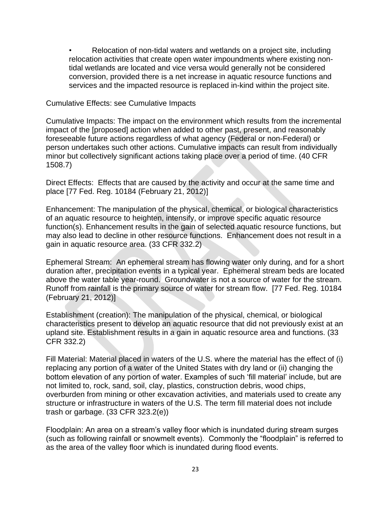• Relocation of non-tidal waters and wetlands on a project site, including relocation activities that create open water impoundments where existing nontidal wetlands are located and vice versa would generally not be considered conversion, provided there is a net increase in aquatic resource functions and services and the impacted resource is replaced in-kind within the project site.

Cumulative Effects: see Cumulative Impacts

Cumulative Impacts: The impact on the environment which results from the incremental impact of the [proposed] action when added to other past, present, and reasonably foreseeable future actions regardless of what agency (Federal or non-Federal) or person undertakes such other actions. Cumulative impacts can result from individually minor but collectively significant actions taking place over a period of time. (40 CFR 1508.7)

Direct Effects: Effects that are caused by the activity and occur at the same time and place [77 Fed. Reg. 10184 (February 21, 2012)]

Enhancement: The manipulation of the physical, chemical, or biological characteristics of an aquatic resource to heighten, intensify, or improve specific aquatic resource function(s). Enhancement results in the gain of selected aquatic resource functions, but may also lead to decline in other resource functions. Enhancement does not result in a gain in aquatic resource area. (33 CFR 332.2)

Ephemeral Stream: An ephemeral stream has flowing water only during, and for a short duration after, precipitation events in a typical year. Ephemeral stream beds are located above the water table year-round. Groundwater is not a source of water for the stream. Runoff from rainfall is the primary source of water for stream flow. [77 Fed. Reg. 10184 (February 21, 2012)]

Establishment (creation): The manipulation of the physical, chemical, or biological characteristics present to develop an aquatic resource that did not previously exist at an upland site. Establishment results in a gain in aquatic resource area and functions. (33 CFR 332.2)

Fill Material: Material placed in waters of the U.S. where the material has the effect of (i) replacing any portion of a water of the United States with dry land or (ii) changing the bottom elevation of any portion of water. Examples of such 'fill material' include, but are not limited to, rock, sand, soil, clay, plastics, construction debris, wood chips, overburden from mining or other excavation activities, and materials used to create any structure or infrastructure in waters of the U.S. The term fill material does not include trash or garbage. (33 CFR 323.2(e))

Floodplain: An area on a stream's valley floor which is inundated during stream surges (such as following rainfall or snowmelt events). Commonly the "floodplain" is referred to as the area of the valley floor which is inundated during flood events.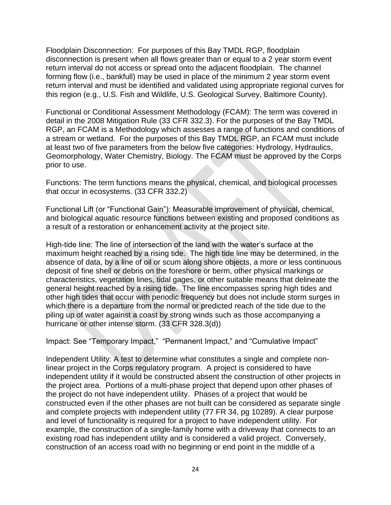Floodplain Disconnection: For purposes of this Bay TMDL RGP, floodplain disconnection is present when all flows greater than or equal to a 2 year storm event return interval do not access or spread onto the adjacent floodplain. The channel forming flow (i.e., bankfull) may be used in place of the minimum 2 year storm event return interval and must be identified and validated using appropriate regional curves for this region (e.g., U.S. Fish and Wildlife, U.S. Geological Survey, Baltimore County).

Functional or Conditional Assessment Methodology (FCAM): The term was covered in detail in the 2008 Mitigation Rule (33 CFR 332.3). For the purposes of the Bay TMDL RGP, an FCAM is a Methodology which assesses a range of functions and conditions of a stream or wetland. For the purposes of this Bay TMDL RGP, an FCAM must include at least two of five parameters from the below five categories: Hydrology, Hydraulics, Geomorphology, Water Chemistry, Biology. The FCAM must be approved by the Corps prior to use.

Functions: The term functions means the physical, chemical, and biological processes that occur in ecosystems. (33 CFR 332.2)

Functional Lift (or "Functional Gain"): Measurable improvement of physical, chemical, and biological aquatic resource functions between existing and proposed conditions as a result of a restoration or enhancement activity at the project site.

High-tide line: The line of intersection of the land with the water's surface at the maximum height reached by a rising tide. The high tide line may be determined, in the absence of data, by a line of oil or scum along shore objects, a more or less continuous deposit of fine shell or debris on the foreshore or berm, other physical markings or characteristics, vegetation lines, tidal gages, or other suitable means that delineate the general height reached by a rising tide. The line encompasses spring high tides and other high tides that occur with periodic frequency but does not include storm surges in which there is a departure from the normal or predicted reach of the tide due to the piling up of water against a coast by strong winds such as those accompanying a hurricane or other intense storm. (33 CFR 328.3(d))

Impact: See "Temporary Impact," "Permanent Impact," and "Cumulative Impact"

Independent Utility: A test to determine what constitutes a single and complete nonlinear project in the Corps regulatory program. A project is considered to have independent utility if it would be constructed absent the construction of other projects in the project area. Portions of a multi-phase project that depend upon other phases of the project do not have independent utility. Phases of a project that would be constructed even if the other phases are not built can be considered as separate single and complete projects with independent utility (77 FR 34, pg 10289). A clear purpose and level of functionality is required for a project to have independent utility. For example, the construction of a single-family home with a driveway that connects to an existing road has independent utility and is considered a valid project. Conversely, construction of an access road with no beginning or end point in the middle of a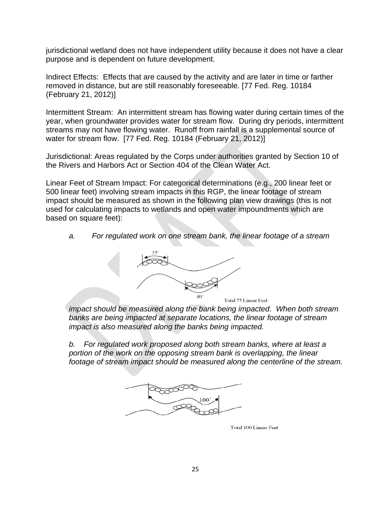jurisdictional wetland does not have independent utility because it does not have a clear purpose and is dependent on future development.

Indirect Effects: Effects that are caused by the activity and are later in time or farther removed in distance, but are still reasonably foreseeable. [77 Fed. Reg. 10184 (February 21, 2012)]

Intermittent Stream: An intermittent stream has flowing water during certain times of the year, when groundwater provides water for stream flow. During dry periods, intermittent streams may not have flowing water. Runoff from rainfall is a supplemental source of water for stream flow. [77 Fed. Reg. 10184 (February 21, 2012)]

Jurisdictional: Areas regulated by the Corps under authorities granted by Section 10 of the Rivers and Harbors Act or Section 404 of the Clean Water Act.

Linear Feet of Stream Impact: For categorical determinations (e.g., 200 linear feet or 500 linear feet) involving stream impacts in this RGP, the linear footage of stream impact should be measured as shown in the following plan view drawings (this is not used for calculating impacts to wetlands and open water impoundments which are based on square feet):

*a. For regulated work on one stream bank, the linear footage of a stream* 



*impact should be measured along the bank being impacted. When both stream banks are being impacted at separate locations, the linear footage of stream impact is also measured along the banks being impacted.* 

*b. For regulated work proposed along both stream banks, where at least a*  portion of the work on the opposing stream bank is overlapping, the linear *footage of stream impact should be measured along the centerline of the stream.*



Total 100 Linear Feet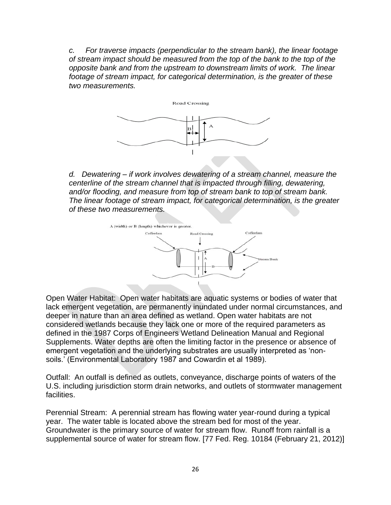*c. For traverse impacts (perpendicular to the stream bank), the linear footage of stream impact should be measured from the top of the bank to the top of the opposite bank and from the upstream to downstream limits of work. The linear footage of stream impact, for categorical determination, is the greater of these two measurements.* 



*d. Dewatering – if work involves dewatering of a stream channel, measure the centerline of the stream channel that is impacted through filling, dewatering, and/or flooding, and measure from top of stream bank to top of stream bank. The linear footage of stream impact, for categorical determination, is the greater of these two measurements.* 



Open Water Habitat: Open water habitats are aquatic systems or bodies of water that lack emergent vegetation, are permanently inundated under normal circumstances, and deeper in nature than an area defined as wetland. Open water habitats are not considered wetlands because they lack one or more of the required parameters as defined in the 1987 Corps of Engineers Wetland Delineation Manual and Regional Supplements. Water depths are often the limiting factor in the presence or absence of emergent vegetation and the underlying substrates are usually interpreted as 'nonsoils.' (Environmental Laboratory 1987 and Cowardin et al 1989).

Outfall: An outfall is defined as outlets, conveyance, discharge points of waters of the U.S. including jurisdiction storm drain networks, and outlets of stormwater management facilities.

Perennial Stream: A perennial stream has flowing water year-round during a typical year. The water table is located above the stream bed for most of the year. Groundwater is the primary source of water for stream flow. Runoff from rainfall is a supplemental source of water for stream flow. [77 Fed. Reg. 10184 (February 21, 2012)]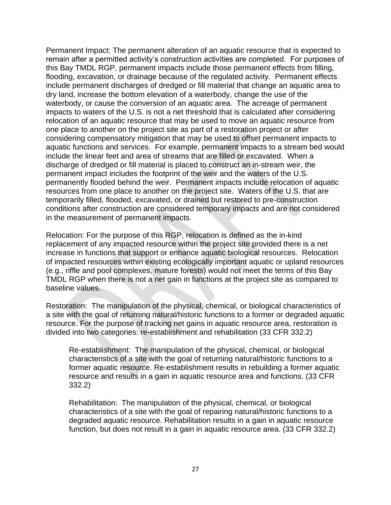Permanent Impact: The permanent alteration of an aquatic resource that is expected to remain after a permitted activity's construction activities are completed. For purposes of this Bay TMDL RGP, permanent impacts include those permanent effects from filling, flooding, excavation, or drainage because of the regulated activity. Permanent effects include permanent discharges of dredged or fill material that change an aquatic area to dry land, increase the bottom elevation of a waterbody, change the use of the waterbody, or cause the conversion of an aquatic area. The acreage of permanent impacts to waters of the U.S. is not a net threshold that is calculated after considering relocation of an aquatic resource that may be used to move an aquatic resource from one place to another on the project site as part of a restoration project or after considering compensatory mitigation that may be used to offset permanent impacts to aquatic functions and services. For example, permanent impacts to a stream bed would include the linear feet and area of streams that are filled or excavated. When a discharge of dredged or fill material is placed to construct an in-stream weir, the permanent impact includes the footprint of the weir and the waters of the U.S. permanently flooded behind the weir. Permanent impacts include relocation of aquatic resources from one place to another on the project site. Waters of the U.S. that are temporarily filled, flooded, excavated, or drained but restored to pre-construction conditions after construction are considered temporary impacts and are not considered in the measurement of permanent impacts.

Relocation: For the purpose of this RGP, relocation is defined as the in-kind replacement of any impacted resource within the project site provided there is a net increase in functions that support or enhance aquatic biological resources. Relocation of impacted resources within existing ecologically important aquatic or upland resources (e.g., riffle and pool complexes, mature forests) would not meet the terms of this Bay TMDL RGP when there is not a net gain in functions at the project site as compared to baseline values.

Restoration: The manipulation of the physical, chemical, or biological characteristics of a site with the goal of returning natural/historic functions to a former or degraded aquatic resource. For the purpose of tracking net gains in aquatic resource area, restoration is divided into two categories: re-establishment and rehabilitation (33 CFR 332.2)

Re-establishment: The manipulation of the physical, chemical, or biological characteristics of a site with the goal of returning natural/historic functions to a former aquatic resource. Re-establishment results in rebuilding a former aquatic resource and results in a gain in aquatic resource area and functions. (33 CFR 332.2)

Rehabilitation: The manipulation of the physical, chemical, or biological characteristics of a site with the goal of repairing natural/historic functions to a degraded aquatic resource. Rehabilitation results in a gain in aquatic resource function, but does not result in a gain in aquatic resource area. (33 CFR 332.2)